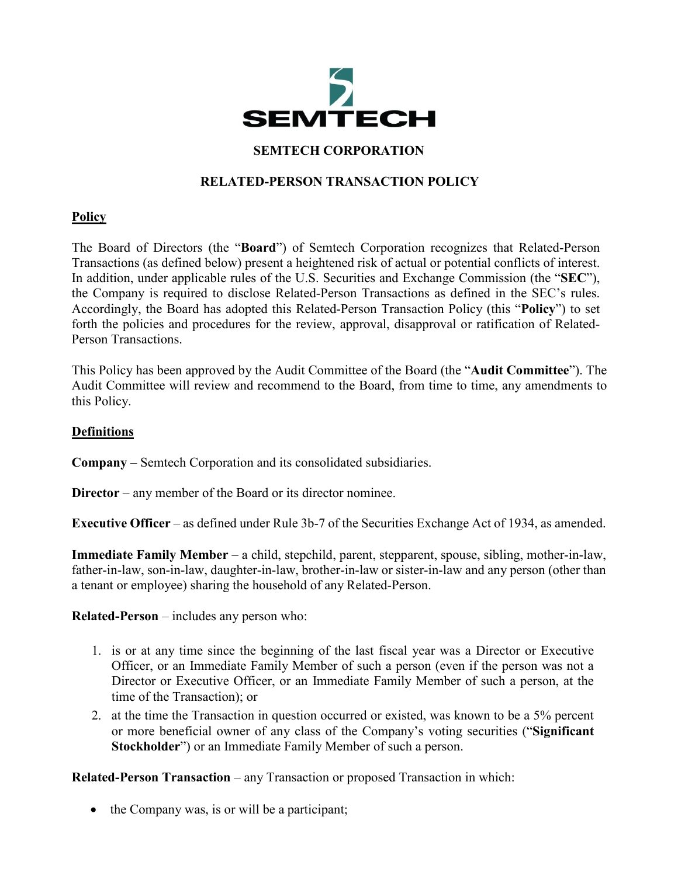

#### **SEMTECH CORPORATION**

# **RELATED-PERSON TRANSACTION POLICY**

#### **Policy**

The Board of Directors (the "**Board**") of Semtech Corporation recognizes that Related-Person Transactions (as defined below) present a heightened risk of actual or potential conflicts of interest. In addition, under applicable rules of the U.S. Securities and Exchange Commission (the "**SEC**"), the Company is required to disclose Related-Person Transactions as defined in the SEC's rules. Accordingly, the Board has adopted this Related-Person Transaction Policy (this "**Policy**") to set forth the policies and procedures for the review, approval, disapproval or ratification of Related-Person Transactions.

This Policy has been approved by the Audit Committee of the Board (the "**Audit Committee**"). The Audit Committee will review and recommend to the Board, from time to time, any amendments to this Policy.

#### **Definitions**

**Company** – Semtech Corporation and its consolidated subsidiaries.

**Director** – any member of the Board or its director nominee.

**Executive Officer** – as defined under Rule 3b-7 of the Securities Exchange Act of 1934, as amended.

**Immediate Family Member** – a child, stepchild, parent, stepparent, spouse, sibling, mother-in-law, father-in-law, son-in-law, daughter-in-law, brother-in-law or sister-in-law and any person (other than a tenant or employee) sharing the household of any Related-Person.

**Related-Person** – includes any person who:

- 1. is or at any time since the beginning of the last fiscal year was a Director or Executive Officer, or an Immediate Family Member of such a person (even if the person was not a Director or Executive Officer, or an Immediate Family Member of such a person, at the time of the Transaction); or
- 2. at the time the Transaction in question occurred or existed, was known to be a 5% percent or more beneficial owner of any class of the Company's voting securities ("**Significant Stockholder**") or an Immediate Family Member of such a person.

**Related-Person Transaction** – any Transaction or proposed Transaction in which:

• the Company was, is or will be a participant;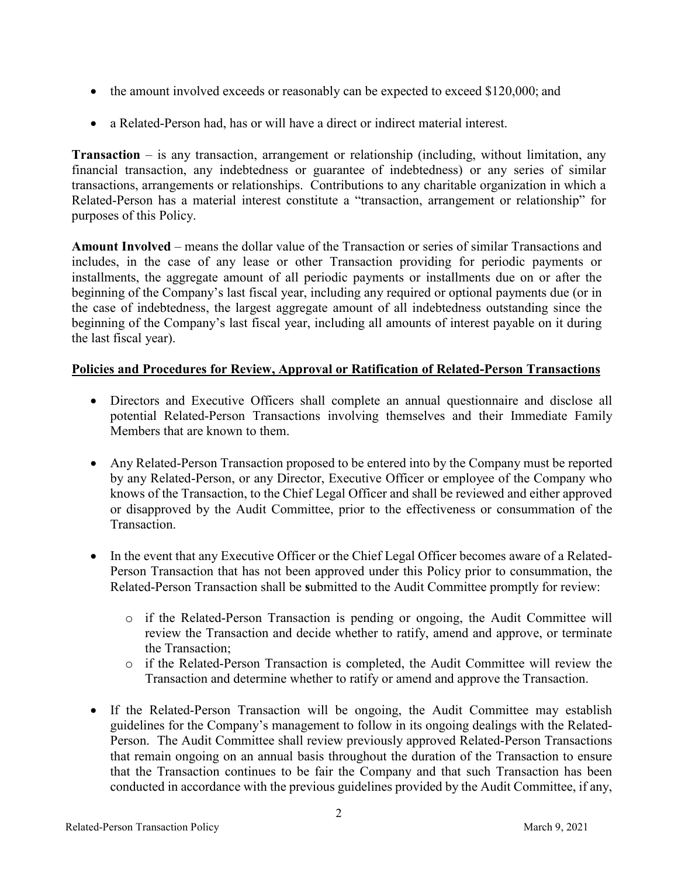- the amount involved exceeds or reasonably can be expected to exceed \$120,000; and
- a Related-Person had, has or will have a direct or indirect material interest.

**Transaction** – is any transaction, arrangement or relationship (including, without limitation, any financial transaction, any indebtedness or guarantee of indebtedness) or any series of similar transactions, arrangements or relationships. Contributions to any charitable organization in which a Related-Person has a material interest constitute a "transaction, arrangement or relationship" for purposes of this Policy.

**Amount Involved** – means the dollar value of the Transaction or series of similar Transactions and includes, in the case of any lease or other Transaction providing for periodic payments or installments, the aggregate amount of all periodic payments or installments due on or after the beginning of the Company's last fiscal year, including any required or optional payments due (or in the case of indebtedness, the largest aggregate amount of all indebtedness outstanding since the beginning of the Company's last fiscal year, including all amounts of interest payable on it during the last fiscal year).

# **Policies and Procedures for Review, Approval or Ratification of Related-Person Transactions**

- Directors and Executive Officers shall complete an annual questionnaire and disclose all potential Related-Person Transactions involving themselves and their Immediate Family Members that are known to them.
- Any Related-Person Transaction proposed to be entered into by the Company must be reported by any Related-Person, or any Director, Executive Officer or employee of the Company who knows of the Transaction, to the Chief Legal Officer and shall be reviewed and either approved or disapproved by the Audit Committee, prior to the effectiveness or consummation of the Transaction.
- In the event that any Executive Officer or the Chief Legal Officer becomes aware of a Related-Person Transaction that has not been approved under this Policy prior to consummation, the Related-Person Transaction shall be **s**ubmitted to the Audit Committee promptly for review:
	- o if the Related-Person Transaction is pending or ongoing, the Audit Committee will review the Transaction and decide whether to ratify, amend and approve, or terminate the Transaction;
	- o if the Related-Person Transaction is completed, the Audit Committee will review the Transaction and determine whether to ratify or amend and approve the Transaction.
- If the Related-Person Transaction will be ongoing, the Audit Committee may establish guidelines for the Company's management to follow in its ongoing dealings with the Related-Person. The Audit Committee shall review previously approved Related-Person Transactions that remain ongoing on an annual basis throughout the duration of the Transaction to ensure that the Transaction continues to be fair the Company and that such Transaction has been conducted in accordance with the previous guidelines provided by the Audit Committee, if any,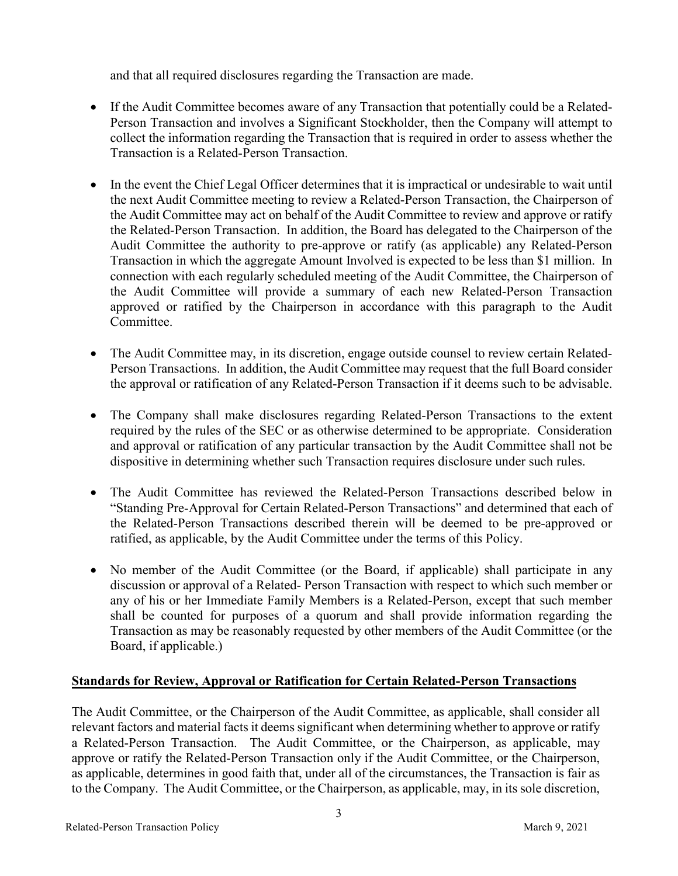and that all required disclosures regarding the Transaction are made.

- If the Audit Committee becomes aware of any Transaction that potentially could be a Related-Person Transaction and involves a Significant Stockholder, then the Company will attempt to collect the information regarding the Transaction that is required in order to assess whether the Transaction is a Related-Person Transaction.
- In the event the Chief Legal Officer determines that it is impractical or undesirable to wait until the next Audit Committee meeting to review a Related-Person Transaction, the Chairperson of the Audit Committee may act on behalf of the Audit Committee to review and approve or ratify the Related-Person Transaction. In addition, the Board has delegated to the Chairperson of the Audit Committee the authority to pre-approve or ratify (as applicable) any Related-Person Transaction in which the aggregate Amount Involved is expected to be less than \$1 million. In connection with each regularly scheduled meeting of the Audit Committee, the Chairperson of the Audit Committee will provide a summary of each new Related-Person Transaction approved or ratified by the Chairperson in accordance with this paragraph to the Audit Committee.
- The Audit Committee may, in its discretion, engage outside counsel to review certain Related-Person Transactions. In addition, the Audit Committee may request that the full Board consider the approval or ratification of any Related-Person Transaction if it deems such to be advisable.
- The Company shall make disclosures regarding Related-Person Transactions to the extent required by the rules of the SEC or as otherwise determined to be appropriate. Consideration and approval or ratification of any particular transaction by the Audit Committee shall not be dispositive in determining whether such Transaction requires disclosure under such rules.
- The Audit Committee has reviewed the Related-Person Transactions described below in "Standing Pre-Approval for Certain Related-Person Transactions" and determined that each of the Related-Person Transactions described therein will be deemed to be pre-approved or ratified, as applicable, by the Audit Committee under the terms of this Policy.
- No member of the Audit Committee (or the Board, if applicable) shall participate in any discussion or approval of a Related- Person Transaction with respect to which such member or any of his or her Immediate Family Members is a Related-Person, except that such member shall be counted for purposes of a quorum and shall provide information regarding the Transaction as may be reasonably requested by other members of the Audit Committee (or the Board, if applicable.)

# **Standards for Review, Approval or Ratification for Certain Related-Person Transactions**

The Audit Committee, or the Chairperson of the Audit Committee, as applicable, shall consider all relevant factors and material facts it deems significant when determining whether to approve or ratify a Related-Person Transaction. The Audit Committee, or the Chairperson, as applicable, may approve or ratify the Related-Person Transaction only if the Audit Committee, or the Chairperson, as applicable, determines in good faith that, under all of the circumstances, the Transaction is fair as to the Company. The Audit Committee, or the Chairperson, as applicable, may, in its sole discretion,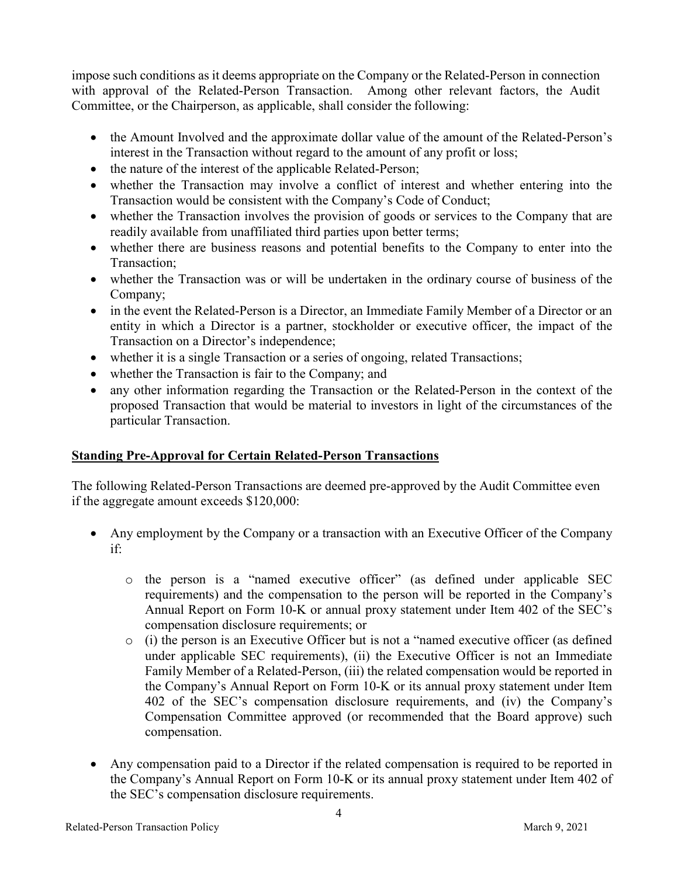impose such conditions as it deems appropriate on the Company or the Related-Person in connection with approval of the Related-Person Transaction. Among other relevant factors, the Audit Committee, or the Chairperson, as applicable, shall consider the following:

- the Amount Involved and the approximate dollar value of the amount of the Related-Person's interest in the Transaction without regard to the amount of any profit or loss;
- the nature of the interest of the applicable Related-Person;
- whether the Transaction may involve a conflict of interest and whether entering into the Transaction would be consistent with the Company's Code of Conduct;
- whether the Transaction involves the provision of goods or services to the Company that are readily available from unaffiliated third parties upon better terms;
- whether there are business reasons and potential benefits to the Company to enter into the Transaction;
- whether the Transaction was or will be undertaken in the ordinary course of business of the Company;
- in the event the Related-Person is a Director, an Immediate Family Member of a Director or an entity in which a Director is a partner, stockholder or executive officer, the impact of the Transaction on a Director's independence;
- whether it is a single Transaction or a series of ongoing, related Transactions;
- whether the Transaction is fair to the Company; and
- any other information regarding the Transaction or the Related-Person in the context of the proposed Transaction that would be material to investors in light of the circumstances of the particular Transaction.

# **Standing Pre-Approval for Certain Related-Person Transactions**

The following Related-Person Transactions are deemed pre-approved by the Audit Committee even if the aggregate amount exceeds \$120,000:

- Any employment by the Company or a transaction with an Executive Officer of the Company if:
	- o the person is a "named executive officer" (as defined under applicable SEC requirements) and the compensation to the person will be reported in the Company's Annual Report on Form 10-K or annual proxy statement under Item 402 of the SEC's compensation disclosure requirements; or
	- o (i) the person is an Executive Officer but is not a "named executive officer (as defined under applicable SEC requirements), (ii) the Executive Officer is not an Immediate Family Member of a Related-Person, (iii) the related compensation would be reported in the Company's Annual Report on Form 10-K or its annual proxy statement under Item 402 of the SEC's compensation disclosure requirements, and (iv) the Company's Compensation Committee approved (or recommended that the Board approve) such compensation.
- Any compensation paid to a Director if the related compensation is required to be reported in the Company's Annual Report on Form 10-K or its annual proxy statement under Item 402 of the SEC's compensation disclosure requirements.